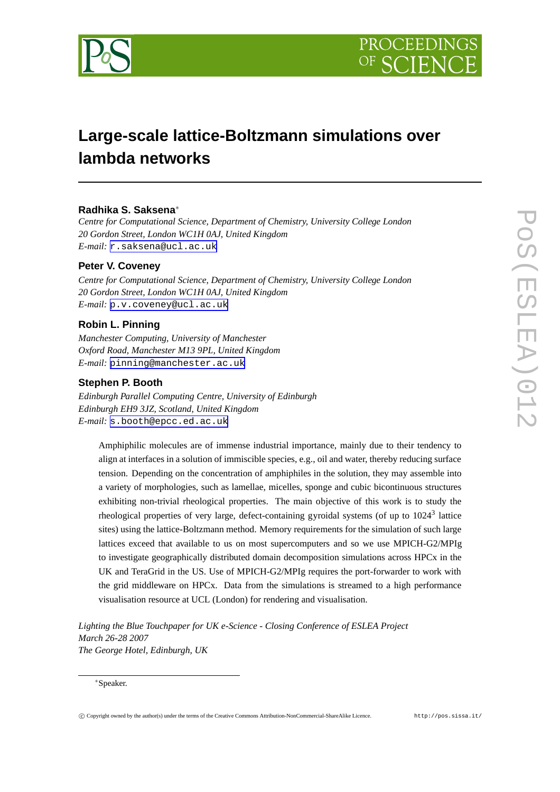



# **Large-scale lattice-Boltzmann simulations over lambda networks**

# **Radhika S. Saksena**<sup>∗</sup>

*Centre for Computational Science, Department of Chemistry, University College London 20 Gordon Street, London WC1H 0AJ, United Kingdom E-mail:* [r.saksena@ucl.ac.uk](mailto:r.saksena@ucl.ac.uk)

## **Peter V. Coveney**

*Centre for Computational Science, Department of Chemistry, University College London 20 Gordon Street, London WC1H 0AJ, United Kingdom E-mail:* [p.v.coveney@ucl.ac.uk](mailto:p.v.coveney@ucl.ac.uk)

# **Robin L. Pinning**

*Manchester Computing, University of Manchester Oxford Road, Manchester M13 9PL, United Kingdom E-mail:* [pinning@manchester.ac.uk](mailto:pinning@manchester.ac.uk)

### **Stephen P. Booth**

*Edinburgh Parallel Computing Centre, University of Edinburgh Edinburgh EH9 3JZ, Scotland, United Kingdom E-mail:* [s.booth@epcc.ed.ac.uk](mailto:s.booth@epcc.ed.ac.uk)

Amphiphilic molecules are of immense industrial importance, mainly due to their tendency to align at interfaces in a solution of immiscible species, e.g., oil and water, thereby reducing surface tension. Depending on the concentration of amphiphiles in the solution, they may assemble into a variety of morphologies, such as lamellae, micelles, sponge and cubic bicontinuous structures exhibiting non-trivial rheological properties. The main objective of this work is to study the rheological properties of very large, defect-containing gyroidal systems (of up to 1024<sup>3</sup> lattice sites) using the lattice-Boltzmann method. Memory requirements for the simulation of such large lattices exceed that available to us on most supercomputers and so we use MPICH-G2/MPIg to investigate geographically distributed domain decomposition simulations across HPCx in the UK and TeraGrid in the US. Use of MPICH-G2/MPIg requires the port-forwarder to work with the grid middleware on HPCx. Data from the simulations is streamed to a high performance visualisation resource at UCL (London) for rendering and visualisation.

*Lighting the Blue Touchpaper for UK e-Science - Closing Conference of ESLEA Project March 26-28 2007 The George Hotel, Edinburgh, UK*

#### <sup>∗</sup>Speaker.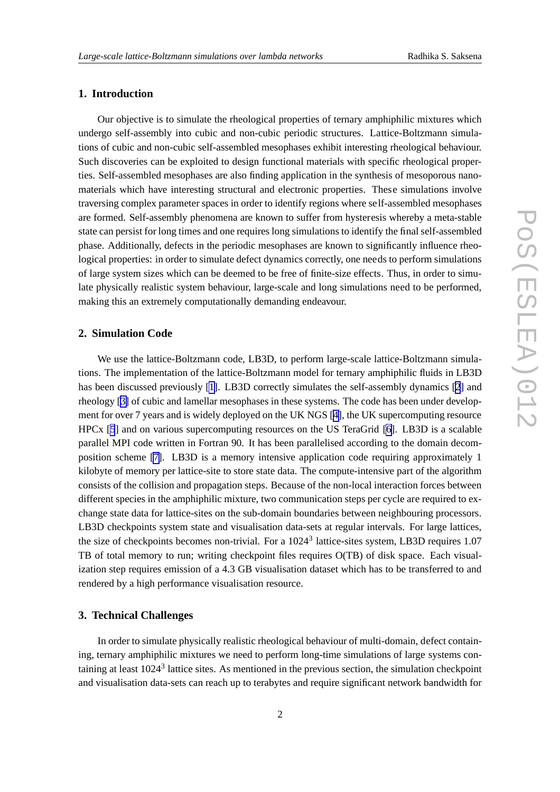# **1. Introduction**

Our objective is to simulate the rheological properties of ternary amphiphilic mixtures which undergo self-assembly into cubic and non-cubic periodic structures. Lattice-Boltzmann simulations of cubic and non-cubic self-assembled mesophases exhibit interesting rheological behaviour. Such discoveries can be exploited to design functional materials with specific rheological properties. Self-assembled mesophases are also finding application in the synthesis of mesoporous nanomaterials which have interesting structural and electronic properties. These simulations involve traversing complex parameter spaces in order to identify regions where self-assembled mesophases are formed. Self-assembly phenomena are known to suffer from hysteresis whereby a meta-stable state can persist for long times and one requires long simulations to identify the final self-assembled phase. Additionally, defects in the periodic mesophases are known to significantly influence rheological properties: in order to simulate defect dynamics correctly, one needs to perform simulations of large system sizes which can be deemed to be free of finite-size effects. Thus, in order to simulate physically realistic system behaviour, large-scale and long simulations need to be performed, making this an extremely computationally demanding endeavour.

## **2. Simulation Code**

We use the lattice-Boltzmann code, LB3D, to perform large-scale lattice-Boltzmann simulations. The implementation of the lattice-Boltzmann model for ternary amphiphilic fluids in LB3D has been discussed previously [\[1\]](#page-3-0). LB3D correctly simulates the self-assembly dynamics [[2](#page-3-0)] and rheology [\[3\]](#page-3-0) of cubic and lamellar mesophases in these systems. The code has been under development for over 7 years and is widely deployed on the UK NGS [\[4\]](#page-3-0), the UK supercomputing resource HPCx [\[5](#page-3-0)] and on various supercomputing resources on the US TeraGrid [\[6\]](#page-3-0). LB3D is a scalable parallel MPI code written in Fortran 90. It has been parallelised according to the domain decomposition scheme [\[7\]](#page-3-0). LB3D is a memory intensive application code requiring approximately 1 kilobyte of memory per lattice-site to store state data. The compute-intensive part of the algorithm consists of the collision and propagation steps. Because of the non-local interaction forces between different species in the amphiphilic mixture, two communication steps per cycle are required to exchange state data for lattice-sites on the sub-domain boundaries between neighbouring processors. LB3D checkpoints system state and visualisation data-sets at regular intervals. For large lattices, the size of checkpoints becomes non-trivial. For a  $1024<sup>3</sup>$  lattice-sites system, LB3D requires 1.07 TB of total memory to run; writing checkpoint files requires O(TB) of disk space. Each visualization step requires emission of a 4.3 GB visualisation dataset which has to be transferred to and rendered by a high performance visualisation resource.

# **3. Technical Challenges**

In order to simulate physically realistic rheological behaviour of multi-domain, defect containing, ternary amphiphilic mixtures we need to perform long-time simulations of large systems containing at least 1024<sup>3</sup> lattice sites. As mentioned in the previous section, the simulation checkpoint and visualisation data-sets can reach up to terabytes and require significant network bandwidth for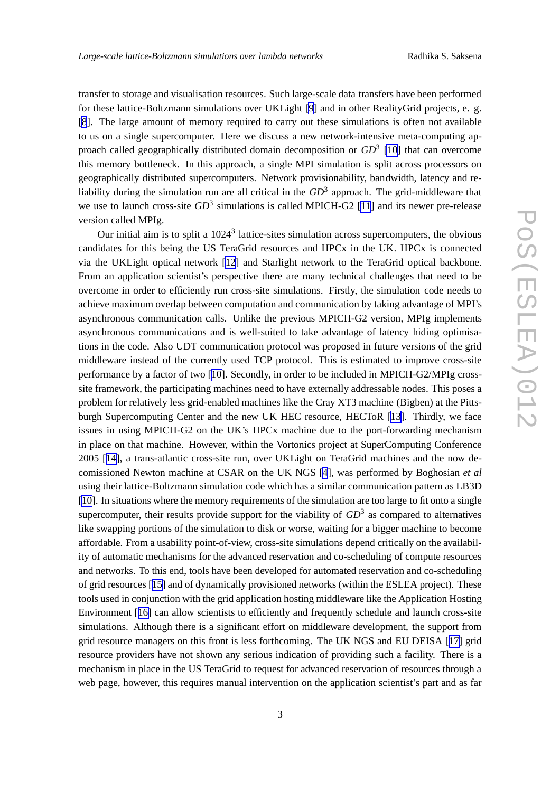transfer to storage and visualisation resources. Such large-scale data transfers have been performed for these lattice-Boltzmann simulations over UKLight [\[9](#page-3-0)] and in other RealityGrid projects, e. g. [[8](#page-3-0)]. The large amount of memory required to carry out these simulations is often not available to us on a single supercomputer. Here we discuss a new network-intensive meta-computing approach called geographically distributed domain decomposition or *GD*<sup>3</sup> [\[10](#page-3-0)] that can overcome this memory bottleneck. In this approach, a single MPI simulation is split across processors on geographically distributed supercomputers. Network provisionability, bandwidth, latency and reliability during the simulation run are all critical in the  $GD^3$  approach. The grid-middleware that we use to launch cross-site  $GD^3$  simulations is called MPICH-G2 [\[11](#page-3-0)] and its newer pre-release version called MPIg.

Our initial aim is to split a  $1024<sup>3</sup>$  lattice-sites simulation across supercomputers, the obvious candidates for this being the US TeraGrid resources and HPCx in the UK. HPCx is connected via the UKLight optical network [\[12](#page-3-0)] and Starlight network to the TeraGrid optical backbone. From an application scientist's perspective there are many technical challenges that need to be overcome in order to efficiently run cross-site simulations. Firstly, the simulation code needs to achieve maximum overlap between computation and communication by taking advantage of MPI's asynchronous communication calls. Unlike the previous MPICH-G2 version, MPIg implements asynchronous communications and is well-suited to take advantage of latency hiding optimisations in the code. Also UDT communication protocol was proposed in future versions of the grid middleware instead of the currently used TCP protocol. This is estimated to improve cross-site performance by a factor of two [[10\]](#page-3-0). Secondly, in order to be included in MPICH-G2/MPIg crosssite framework, the participating machines need to have externally addressable nodes. This poses a problem for relatively less grid-enabled machines like the Cray XT3 machine (Bigben) at the Pittsburgh Supercomputing Center and the new UK HEC resource, HECToR [[13](#page-3-0)]. Thirdly, we face issues in using MPICH-G2 on the UK's HPCx machine due to the port-forwarding mechanism in place on that machine. However, within the Vortonics project at SuperComputing Conference 2005 [[14\]](#page-3-0), a trans-atlantic cross-site run, over UKLight on TeraGrid machines and the now decomissioned Newton machine at CSAR on the UK NGS [[4](#page-3-0)], was performed by Boghosian *et al* using their lattice-Boltzmann simulation code which has a similar communication pattern as LB3D [[10\]](#page-3-0). In situations where the memory requirements of the simulation are too large to fit onto a single supercomputer, their results provide support for the viability of *GD*<sup>3</sup> as compared to alternatives like swapping portions of the simulation to disk or worse, waiting for a bigger machine to become affordable. From a usability point-of-view, cross-site simulations depend critically on the availability of automatic mechanisms for the advanced reservation and co-scheduling of compute resources and networks. To this end, tools have been developed for automated reservation and co-scheduling of grid resources [[15\]](#page-3-0) and of dynamically provisioned networks (within the ESLEA project). These tools used in conjunction with the grid application hosting middleware like the Application Hosting Environment [[16\]](#page-4-0) can allow scientists to efficiently and frequently schedule and launch cross-site simulations. Although there is a significant effort on middleware development, the support from grid resource managers on this front is less forthcoming. The UK NGS and EU DEISA [[17\]](#page-4-0) grid resource providers have not shown any serious indication of providing such a facility. There is a mechanism in place in the US TeraGrid to request for advanced reservation of resources through a web page, however, this requires manual intervention on the application scientist's part and as far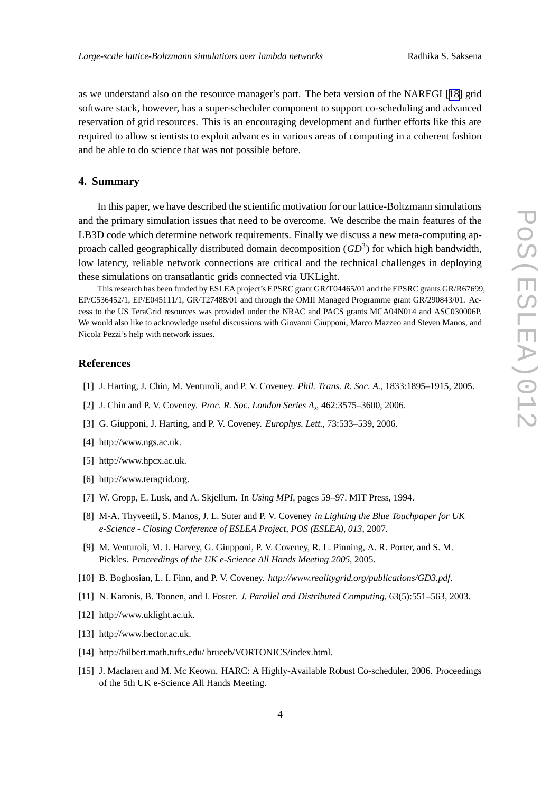<span id="page-3-0"></span>as we understand also on the resource manager's part. The beta version of the NAREGI [[18\]](#page-4-0) grid software stack, however, has a super-scheduler component to support co-scheduling and advanced reservation of grid resources. This is an encouraging development and further efforts like this are required to allow scientists to exploit advances in various areas of computing in a coherent fashion and be able to do science that was not possible before.

# **4. Summary**

In this paper, we have described the scientific motivation for our lattice-Boltzmann simulations and the primary simulation issues that need to be overcome. We describe the main features of the LB3D code which determine network requirements. Finally we discuss a new meta-computing approach called geographically distributed domain decomposition (*GD*<sup>3</sup>) for which high bandwidth, low latency, reliable network connections are critical and the technical challenges in deploying these simulations on transatlantic grids connected via UKLight.

This research has been funded by ESLEA project's EPSRC grant GR/T04465/01 and the EPSRC grants GR/R67699, EP/C536452/1, EP/E045111/1, GR/T27488/01 and through the OMII Managed Programme grant GR/290843/01. Access to the US TeraGrid resources was provided under the NRAC and PACS grants MCA04N014 and ASC030006P. We would also like to acknowledge useful discussions with Giovanni Giupponi, Marco Mazzeo and Steven Manos, and Nicola Pezzi's help with network issues.

#### **References**

- [1] J. Harting, J. Chin, M. Venturoli, and P. V. Coveney. *Phil. Trans. R. Soc. A.*, 1833:1895–1915, 2005.
- [2] J. Chin and P. V. Coveney. *Proc. R. Soc. London Series A,*, 462:3575–3600, 2006.
- [3] G. Giupponi, J. Harting, and P. V. Coveney. *Europhys. Lett.*, 73:533–539, 2006.
- [4] http://www.ngs.ac.uk.
- [5] http://www.hpcx.ac.uk.
- [6] http://www.teragrid.org.
- [7] W. Gropp, E. Lusk, and A. Skjellum. In *Using MPI*, pages 59–97. MIT Press, 1994.
- [8] M-A. Thyveetil, S. Manos, J. L. Suter and P. V. Coveney *in Lighting the Blue Touchpaper for UK e-Science - Closing Conference of ESLEA Project, POS (ESLEA), 013*, 2007.
- [9] M. Venturoli, M. J. Harvey, G. Giupponi, P. V. Coveney, R. L. Pinning, A. R. Porter, and S. M. Pickles. *Proceedings of the UK e-Science All Hands Meeting 2005*, 2005.
- [10] B. Boghosian, L. I. Finn, and P. V. Coveney. *http://www.realitygrid.org/publications/GD3.pdf*.
- [11] N. Karonis, B. Toonen, and I. Foster. *J. Parallel and Distributed Computing*, 63(5):551–563, 2003.
- [12] http://www.uklight.ac.uk.
- [13] http://www.hector.ac.uk.
- [14] http://hilbert.math.tufts.edu/ bruceb/VORTONICS/index.html.
- [15] J. Maclaren and M. Mc Keown. HARC: A Highly-Available Robust Co-scheduler, 2006. Proceedings of the 5th UK e-Science All Hands Meeting.